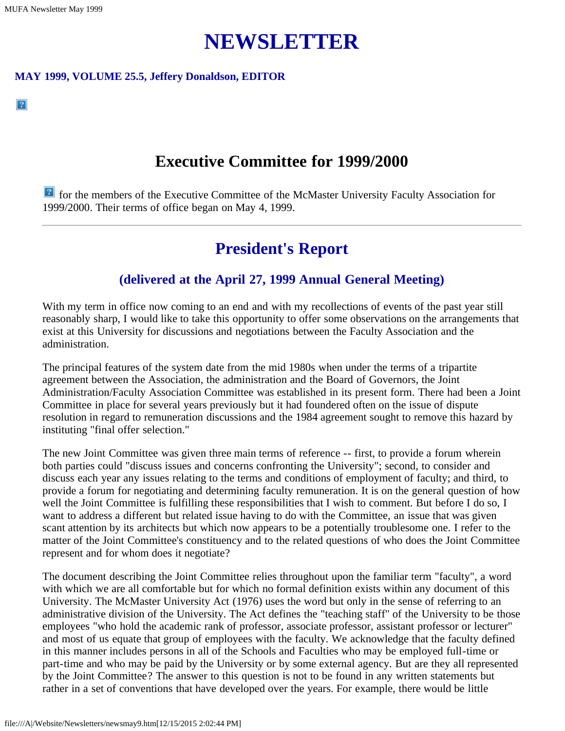$|2|$ 

# **NEWSLETTER**

#### **MAY 1999, VOLUME 25.5, Jeffery Donaldson, EDITOR**

### **Executive Committee for 1999/2000**

**for the members of the Executive Committee of the McMaster University Faculty Association for** 1999/2000. Their terms of office began on May 4, 1999.

## **President's Report**

#### **(delivered at the April 27, 1999 Annual General Meeting)**

With my term in office now coming to an end and with my recollections of events of the past year still reasonably sharp, I would like to take this opportunity to offer some observations on the arrangements that exist at this University for discussions and negotiations between the Faculty Association and the administration.

The principal features of the system date from the mid 1980s when under the terms of a tripartite agreement between the Association, the administration and the Board of Governors, the Joint Administration/Faculty Association Committee was established in its present form. There had been a Joint Committee in place for several years previously but it had foundered often on the issue of dispute resolution in regard to remuneration discussions and the 1984 agreement sought to remove this hazard by instituting "final offer selection."

The new Joint Committee was given three main terms of reference -- first, to provide a forum wherein both parties could "discuss issues and concerns confronting the University"; second, to consider and discuss each year any issues relating to the terms and conditions of employment of faculty; and third, to provide a forum for negotiating and determining faculty remuneration. It is on the general question of how well the Joint Committee is fulfilling these responsibilities that I wish to comment. But before I do so, I want to address a different but related issue having to do with the Committee, an issue that was given scant attention by its architects but which now appears to be a potentially troublesome one. I refer to the matter of the Joint Committee's constituency and to the related questions of who does the Joint Committee represent and for whom does it negotiate?

The document describing the Joint Committee relies throughout upon the familiar term "faculty", a word with which we are all comfortable but for which no formal definition exists within any document of this University. The McMaster University Act (1976) uses the word but only in the sense of referring to an administrative division of the University. The Act defines the "teaching staff" of the University to be those employees "who hold the academic rank of professor, associate professor, assistant professor or lecturer" and most of us equate that group of employees with the faculty. We acknowledge that the faculty defined in this manner includes persons in all of the Schools and Faculties who may be employed full-time or part-time and who may be paid by the University or by some external agency. But are they all represented by the Joint Committee? The answer to this question is not to be found in any written statements but rather in a set of conventions that have developed over the years. For example, there would be little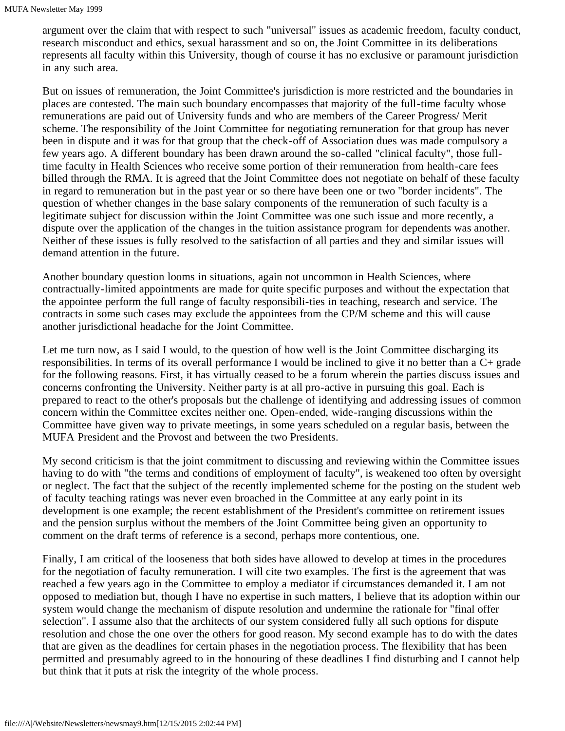argument over the claim that with respect to such "universal" issues as academic freedom, faculty conduct, research misconduct and ethics, sexual harassment and so on, the Joint Committee in its deliberations represents all faculty within this University, though of course it has no exclusive or paramount jurisdiction in any such area.

But on issues of remuneration, the Joint Committee's jurisdiction is more restricted and the boundaries in places are contested. The main such boundary encompasses that majority of the full-time faculty whose remunerations are paid out of University funds and who are members of the Career Progress/ Merit scheme. The responsibility of the Joint Committee for negotiating remuneration for that group has never been in dispute and it was for that group that the check-off of Association dues was made compulsory a few years ago. A different boundary has been drawn around the so-called "clinical faculty", those fulltime faculty in Health Sciences who receive some portion of their remuneration from health-care fees billed through the RMA. It is agreed that the Joint Committee does not negotiate on behalf of these faculty in regard to remuneration but in the past year or so there have been one or two "border incidents". The question of whether changes in the base salary components of the remuneration of such faculty is a legitimate subject for discussion within the Joint Committee was one such issue and more recently, a dispute over the application of the changes in the tuition assistance program for dependents was another. Neither of these issues is fully resolved to the satisfaction of all parties and they and similar issues will demand attention in the future.

Another boundary question looms in situations, again not uncommon in Health Sciences, where contractually-limited appointments are made for quite specific purposes and without the expectation that the appointee perform the full range of faculty responsibili-ties in teaching, research and service. The contracts in some such cases may exclude the appointees from the CP/M scheme and this will cause another jurisdictional headache for the Joint Committee.

Let me turn now, as I said I would, to the question of how well is the Joint Committee discharging its responsibilities. In terms of its overall performance I would be inclined to give it no better than a C+ grade for the following reasons. First, it has virtually ceased to be a forum wherein the parties discuss issues and concerns confronting the University. Neither party is at all pro-active in pursuing this goal. Each is prepared to react to the other's proposals but the challenge of identifying and addressing issues of common concern within the Committee excites neither one. Open-ended, wide-ranging discussions within the Committee have given way to private meetings, in some years scheduled on a regular basis, between the MUFA President and the Provost and between the two Presidents.

My second criticism is that the joint commitment to discussing and reviewing within the Committee issues having to do with "the terms and conditions of employment of faculty", is weakened too often by oversight or neglect. The fact that the subject of the recently implemented scheme for the posting on the student web of faculty teaching ratings was never even broached in the Committee at any early point in its development is one example; the recent establishment of the President's committee on retirement issues and the pension surplus without the members of the Joint Committee being given an opportunity to comment on the draft terms of reference is a second, perhaps more contentious, one.

Finally, I am critical of the looseness that both sides have allowed to develop at times in the procedures for the negotiation of faculty remuneration. I will cite two examples. The first is the agreement that was reached a few years ago in the Committee to employ a mediator if circumstances demanded it. I am not opposed to mediation but, though I have no expertise in such matters, I believe that its adoption within our system would change the mechanism of dispute resolution and undermine the rationale for "final offer selection". I assume also that the architects of our system considered fully all such options for dispute resolution and chose the one over the others for good reason. My second example has to do with the dates that are given as the deadlines for certain phases in the negotiation process. The flexibility that has been permitted and presumably agreed to in the honouring of these deadlines I find disturbing and I cannot help but think that it puts at risk the integrity of the whole process.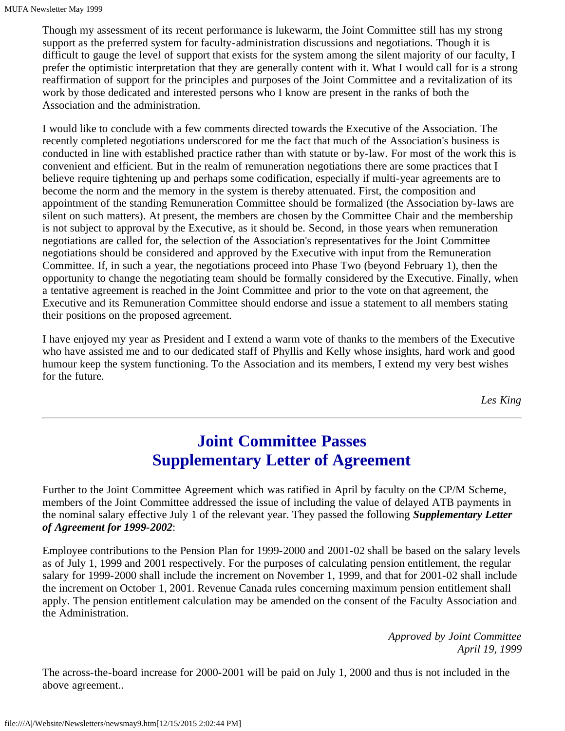Though my assessment of its recent performance is lukewarm, the Joint Committee still has my strong support as the preferred system for faculty-administration discussions and negotiations. Though it is difficult to gauge the level of support that exists for the system among the silent majority of our faculty, I prefer the optimistic interpretation that they are generally content with it. What I would call for is a strong reaffirmation of support for the principles and purposes of the Joint Committee and a revitalization of its work by those dedicated and interested persons who I know are present in the ranks of both the Association and the administration.

I would like to conclude with a few comments directed towards the Executive of the Association. The recently completed negotiations underscored for me the fact that much of the Association's business is conducted in line with established practice rather than with statute or by-law. For most of the work this is convenient and efficient. But in the realm of remuneration negotiations there are some practices that I believe require tightening up and perhaps some codification, especially if multi-year agreements are to become the norm and the memory in the system is thereby attenuated. First, the composition and appointment of the standing Remuneration Committee should be formalized (the Association by-laws are silent on such matters). At present, the members are chosen by the Committee Chair and the membership is not subject to approval by the Executive, as it should be. Second, in those years when remuneration negotiations are called for, the selection of the Association's representatives for the Joint Committee negotiations should be considered and approved by the Executive with input from the Remuneration Committee. If, in such a year, the negotiations proceed into Phase Two (beyond February 1), then the opportunity to change the negotiating team should be formally considered by the Executive. Finally, when a tentative agreement is reached in the Joint Committee and prior to the vote on that agreement, the Executive and its Remuneration Committee should endorse and issue a statement to all members stating their positions on the proposed agreement.

I have enjoyed my year as President and I extend a warm vote of thanks to the members of the Executive who have assisted me and to our dedicated staff of Phyllis and Kelly whose insights, hard work and good humour keep the system functioning. To the Association and its members, I extend my very best wishes for the future.

*Les King*

# **Joint Committee Passes Supplementary Letter of Agreement**

Further to the Joint Committee Agreement which was ratified in April by faculty on the CP/M Scheme, members of the Joint Committee addressed the issue of including the value of delayed ATB payments in the nominal salary effective July 1 of the relevant year. They passed the following *Supplementary Letter of Agreement for 1999-2002*:

Employee contributions to the Pension Plan for 1999-2000 and 2001-02 shall be based on the salary levels as of July 1, 1999 and 2001 respectively. For the purposes of calculating pension entitlement, the regular salary for 1999-2000 shall include the increment on November 1, 1999, and that for 2001-02 shall include the increment on October 1, 2001. Revenue Canada rules concerning maximum pension entitlement shall apply. The pension entitlement calculation may be amended on the consent of the Faculty Association and the Administration.

> *Approved by Joint Committee April 19, 1999*

The across-the-board increase for 2000-2001 will be paid on July 1, 2000 and thus is not included in the above agreement..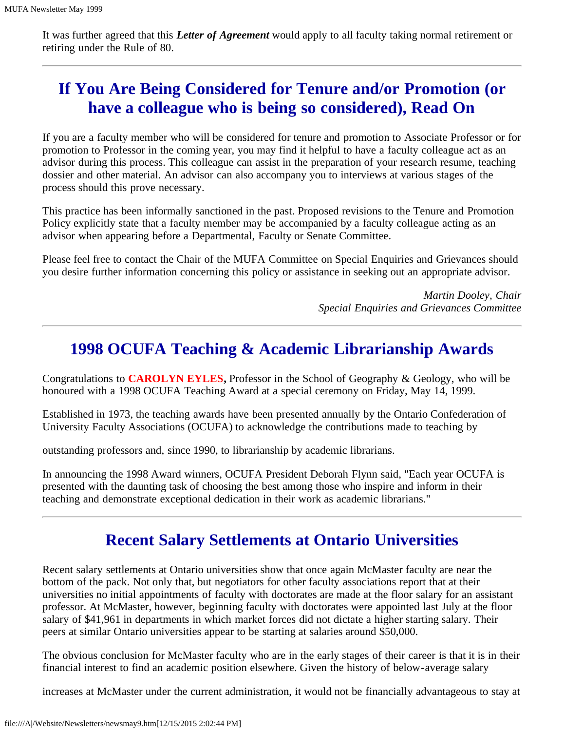It was further agreed that this *Letter of Agreement* would apply to all faculty taking normal retirement or retiring under the Rule of 80.

# **If You Are Being Considered for Tenure and/or Promotion (or have a colleague who is being so considered), Read On**

If you are a faculty member who will be considered for tenure and promotion to Associate Professor or for promotion to Professor in the coming year, you may find it helpful to have a faculty colleague act as an advisor during this process. This colleague can assist in the preparation of your research resume, teaching dossier and other material. An advisor can also accompany you to interviews at various stages of the process should this prove necessary.

This practice has been informally sanctioned in the past. Proposed revisions to the Tenure and Promotion Policy explicitly state that a faculty member may be accompanied by a faculty colleague acting as an advisor when appearing before a Departmental, Faculty or Senate Committee.

Please feel free to contact the Chair of the MUFA Committee on Special Enquiries and Grievances should you desire further information concerning this policy or assistance in seeking out an appropriate advisor.

> *Martin Dooley, Chair Special Enquiries and Grievances Committee*

### **1998 OCUFA Teaching & Academic Librarianship Awards**

Congratulations to **CAROLYN EYLES,** Professor in the School of Geography & Geology, who will be honoured with a 1998 OCUFA Teaching Award at a special ceremony on Friday, May 14, 1999.

Established in 1973, the teaching awards have been presented annually by the Ontario Confederation of University Faculty Associations (OCUFA) to acknowledge the contributions made to teaching by

outstanding professors and, since 1990, to librarianship by academic librarians.

In announcing the 1998 Award winners, OCUFA President Deborah Flynn said, "Each year OCUFA is presented with the daunting task of choosing the best among those who inspire and inform in their teaching and demonstrate exceptional dedication in their work as academic librarians."

### **Recent Salary Settlements at Ontario Universities**

Recent salary settlements at Ontario universities show that once again McMaster faculty are near the bottom of the pack. Not only that, but negotiators for other faculty associations report that at their universities no initial appointments of faculty with doctorates are made at the floor salary for an assistant professor. At McMaster, however, beginning faculty with doctorates were appointed last July at the floor salary of \$41,961 in departments in which market forces did not dictate a higher starting salary. Their peers at similar Ontario universities appear to be starting at salaries around \$50,000.

The obvious conclusion for McMaster faculty who are in the early stages of their career is that it is in their financial interest to find an academic position elsewhere. Given the history of below-average salary

increases at McMaster under the current administration, it would not be financially advantageous to stay at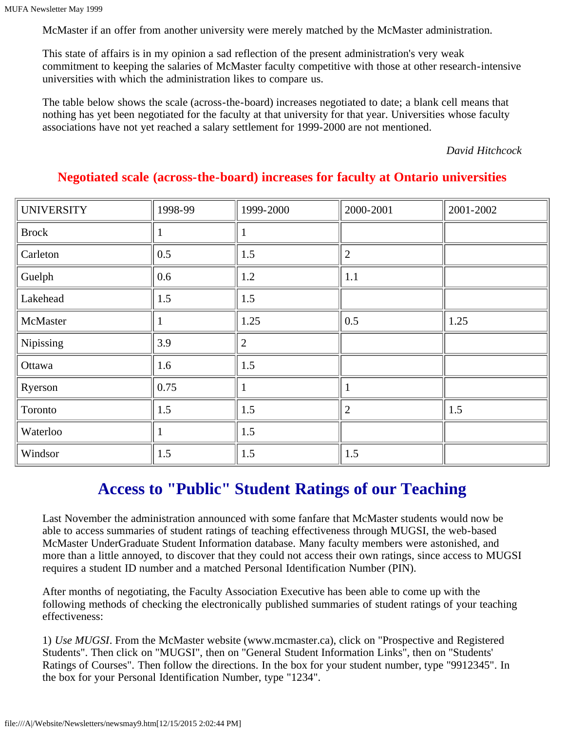McMaster if an offer from another university were merely matched by the McMaster administration.

This state of affairs is in my opinion a sad reflection of the present administration's very weak commitment to keeping the salaries of McMaster faculty competitive with those at other research-intensive universities with which the administration likes to compare us.

The table below shows the scale (across-the-board) increases negotiated to date; a blank cell means that nothing has yet been negotiated for the faculty at that university for that year. Universities whose faculty associations have not yet reached a salary settlement for 1999-2000 are not mentioned.

*David Hitchcock*

| <b>UNIVERSITY</b> | 1998-99 | 1999-2000      | 2000-2001      | 2001-2002 |
|-------------------|---------|----------------|----------------|-----------|
| <b>Brock</b>      |         | 1              |                |           |
| Carleton          | 0.5     | 1.5            | $\overline{2}$ |           |
| Guelph            | 0.6     | 1.2            | 1.1            |           |
| Lakehead          | 1.5     | 1.5            |                |           |
| McMaster          |         | 1.25           | 0.5            | 1.25      |
| Nipissing         | 3.9     | $\overline{2}$ |                |           |
| Ottawa            | 1.6     | 1.5            |                |           |
| Ryerson           | 0.75    |                |                |           |
| Toronto           | 1.5     | 1.5            | $\overline{2}$ | 1.5       |
| Waterloo          |         | 1.5            |                |           |
| Windsor           | 1.5     | 1.5            | 1.5            |           |

#### **Negotiated scale (across-the-board) increases for faculty at Ontario universities**

### **Access to "Public" Student Ratings of our Teaching**

Last November the administration announced with some fanfare that McMaster students would now be able to access summaries of student ratings of teaching effectiveness through MUGSI, the web-based McMaster UnderGraduate Student Information database. Many faculty members were astonished, and more than a little annoyed, to discover that they could not access their own ratings, since access to MUGSI requires a student ID number and a matched Personal Identification Number (PIN).

After months of negotiating, the Faculty Association Executive has been able to come up with the following methods of checking the electronically published summaries of student ratings of your teaching effectiveness:

1) *Use MUGSI*. From the McMaster website (www.mcmaster.ca), click on "Prospective and Registered Students". Then click on "MUGSI", then on "General Student Information Links", then on "Students' Ratings of Courses". Then follow the directions. In the box for your student number, type "9912345". In the box for your Personal Identification Number, type "1234".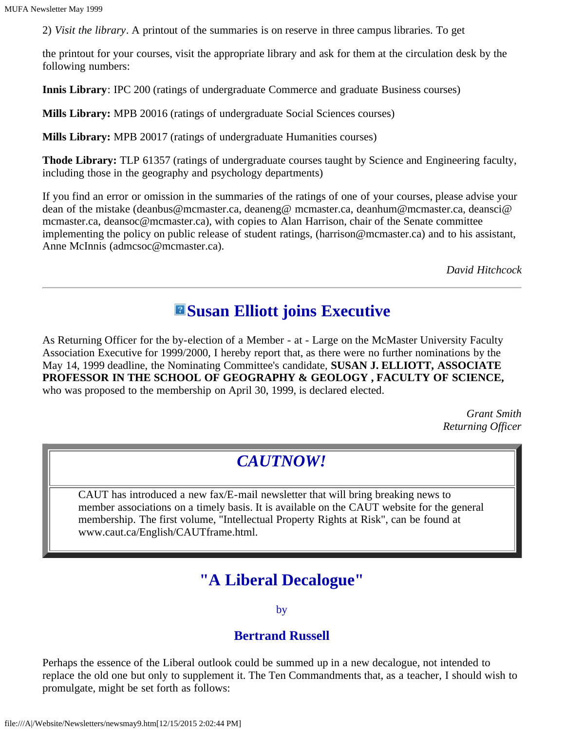2) *Visit the library*. A printout of the summaries is on reserve in three campus libraries. To get

the printout for your courses, visit the appropriate library and ask for them at the circulation desk by the following numbers:

**Innis Library**: IPC 200 (ratings of undergraduate Commerce and graduate Business courses)

**Mills Library:** MPB 20016 (ratings of undergraduate Social Sciences courses)

**Mills Library:** MPB 20017 (ratings of undergraduate Humanities courses)

**Thode Library:** TLP 61357 (ratings of undergraduate courses taught by Science and Engineering faculty, including those in the geography and psychology departments)

If you find an error or omission in the summaries of the ratings of one of your courses, please advise your dean of the mistake (deanbus@mcmaster.ca, deaneng@ mcmaster.ca, deanhum@mcmaster.ca, deansci@ mcmaster.ca, deansoc@mcmaster.ca), with copies to Alan Harrison, chair of the Senate committee implementing the policy on public release of student ratings, (harrison@mcmaster.ca) and to his assistant, Anne McInnis (admcsoc@mcmaster.ca).

*David Hitchcock*

### **Executive Executive**

As Returning Officer for the by-election of a Member - at - Large on the McMaster University Faculty Association Executive for 1999/2000, I hereby report that, as there were no further nominations by the May 14, 1999 deadline, the Nominating Committee's candidate, **SUSAN J. ELLIOTT, ASSOCIATE PROFESSOR IN THE SCHOOL OF GEOGRAPHY & GEOLOGY , FACULTY OF SCIENCE,** who was proposed to the membership on April 30, 1999, is declared elected.

> *Grant Smith Returning Officer*

### *CAUTNOW!*

CAUT has introduced a new fax/E-mail newsletter that will bring breaking news to member associations on a timely basis. It is available on the CAUT website for the general membership. The first volume, "Intellectual Property Rights at Risk", can be found at www.caut.ca/English/CAUTframe.html.

### **"A Liberal Decalogue"**

by

#### **Bertrand Russell**

Perhaps the essence of the Liberal outlook could be summed up in a new decalogue, not intended to replace the old one but only to supplement it. The Ten Commandments that, as a teacher, I should wish to promulgate, might be set forth as follows: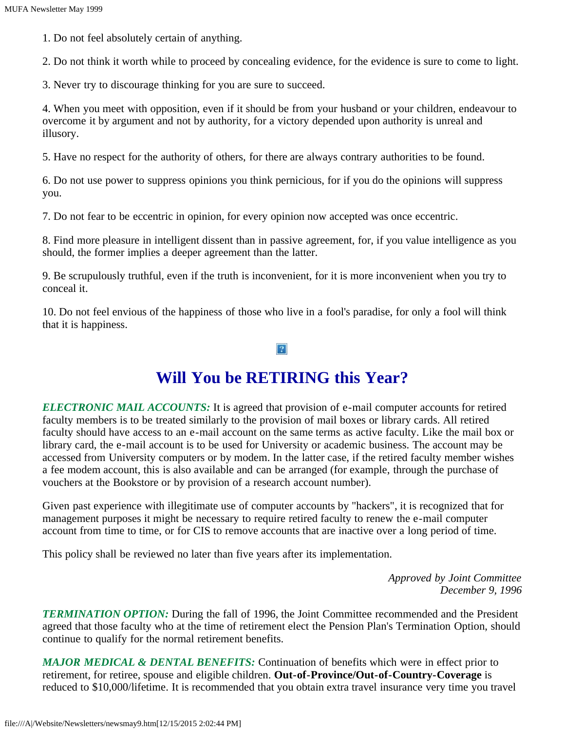1. Do not feel absolutely certain of anything.

2. Do not think it worth while to proceed by concealing evidence, for the evidence is sure to come to light.

3. Never try to discourage thinking for you are sure to succeed.

4. When you meet with opposition, even if it should be from your husband or your children, endeavour to overcome it by argument and not by authority, for a victory depended upon authority is unreal and illusory.

5. Have no respect for the authority of others, for there are always contrary authorities to be found.

6. Do not use power to suppress opinions you think pernicious, for if you do the opinions will suppress you.

7. Do not fear to be eccentric in opinion, for every opinion now accepted was once eccentric.

8. Find more pleasure in intelligent dissent than in passive agreement, for, if you value intelligence as you should, the former implies a deeper agreement than the latter.

9. Be scrupulously truthful, even if the truth is inconvenient, for it is more inconvenient when you try to conceal it.

10. Do not feel envious of the happiness of those who live in a fool's paradise, for only a fool will think that it is happiness.

 $|2|$ 

### **Will You be RETIRING this Year?**

*ELECTRONIC MAIL ACCOUNTS:* It is agreed that provision of e-mail computer accounts for retired faculty members is to be treated similarly to the provision of mail boxes or library cards. All retired faculty should have access to an e-mail account on the same terms as active faculty. Like the mail box or library card, the e-mail account is to be used for University or academic business. The account may be accessed from University computers or by modem. In the latter case, if the retired faculty member wishes a fee modem account, this is also available and can be arranged (for example, through the purchase of vouchers at the Bookstore or by provision of a research account number).

Given past experience with illegitimate use of computer accounts by "hackers", it is recognized that for management purposes it might be necessary to require retired faculty to renew the e-mail computer account from time to time, or for CIS to remove accounts that are inactive over a long period of time.

This policy shall be reviewed no later than five years after its implementation.

*Approved by Joint Committee December 9, 1996*

*TERMINATION OPTION:* During the fall of 1996, the Joint Committee recommended and the President agreed that those faculty who at the time of retirement elect the Pension Plan's Termination Option, should continue to qualify for the normal retirement benefits.

*MAJOR MEDICAL & DENTAL BENEFITS:* Continuation of benefits which were in effect prior to retirement, for retiree, spouse and eligible children. **Out-of-Province/Out-of-Country-Coverage** is reduced to \$10,000/lifetime. It is recommended that you obtain extra travel insurance very time you travel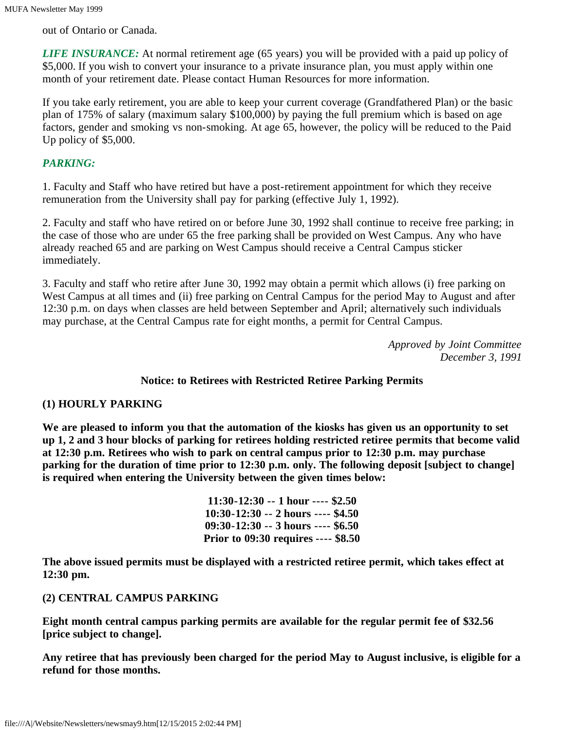out of Ontario or Canada.

*LIFE INSURANCE:* At normal retirement age (65 years) you will be provided with a paid up policy of \$5,000. If you wish to convert your insurance to a private insurance plan, you must apply within one month of your retirement date. Please contact Human Resources for more information.

If you take early retirement, you are able to keep your current coverage (Grandfathered Plan) or the basic plan of 175% of salary (maximum salary \$100,000) by paying the full premium which is based on age factors, gender and smoking vs non-smoking. At age 65, however, the policy will be reduced to the Paid Up policy of \$5,000.

#### *PARKING:*

1. Faculty and Staff who have retired but have a post-retirement appointment for which they receive remuneration from the University shall pay for parking (effective July 1, 1992).

2. Faculty and staff who have retired on or before June 30, 1992 shall continue to receive free parking; in the case of those who are under 65 the free parking shall be provided on West Campus. Any who have already reached 65 and are parking on West Campus should receive a Central Campus sticker immediately.

3. Faculty and staff who retire after June 30, 1992 may obtain a permit which allows (i) free parking on West Campus at all times and (ii) free parking on Central Campus for the period May to August and after 12:30 p.m. on days when classes are held between September and April; alternatively such individuals may purchase, at the Central Campus rate for eight months, a permit for Central Campus.

> *Approved by Joint Committee December 3, 1991*

#### **Notice: to Retirees with Restricted Retiree Parking Permits**

#### **(1) HOURLY PARKING**

**We are pleased to inform you that the automation of the kiosks has given us an opportunity to set up 1, 2 and 3 hour blocks of parking for retirees holding restricted retiree permits that become valid at 12:30 p.m. Retirees who wish to park on central campus prior to 12:30 p.m. may purchase parking for the duration of time prior to 12:30 p.m. only. The following deposit [subject to change] is required when entering the University between the given times below:**

> **11:30-12:30 -- 1 hour ---- \$2.50 10:30-12:30 -- 2 hours ---- \$4.50 09:30-12:30 -- 3 hours ---- \$6.50 Prior to 09:30 requires ---- \$8.50**

**The above issued permits must be displayed with a restricted retiree permit, which takes effect at 12:30 pm.**

#### **(2) CENTRAL CAMPUS PARKING**

**Eight month central campus parking permits are available for the regular permit fee of \$32.56 [price subject to change].**

**Any retiree that has previously been charged for the period May to August inclusive, is eligible for a refund for those months.**